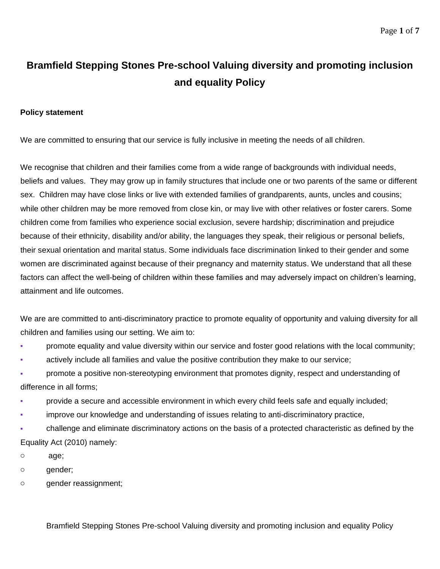# **Bramfield Stepping Stones Pre-school Valuing diversity and promoting inclusion and equality Policy**

#### **Policy statement**

We are committed to ensuring that our service is fully inclusive in meeting the needs of all children.

We recognise that children and their families come from a wide range of backgrounds with individual needs, beliefs and values. They may grow up in family structures that include one or two parents of the same or different sex. Children may have close links or live with extended families of grandparents, aunts, uncles and cousins; while other children may be more removed from close kin, or may live with other relatives or foster carers. Some children come from families who experience social exclusion, severe hardship; discrimination and prejudice because of their ethnicity, disability and/or ability, the languages they speak, their religious or personal beliefs, their sexual orientation and marital status. Some individuals face discrimination linked to their gender and some women are discriminated against because of their pregnancy and maternity status. We understand that all these factors can affect the well-being of children within these families and may adversely impact on children's learning, attainment and life outcomes.

We are are committed to anti-discriminatory practice to promote equality of opportunity and valuing diversity for all children and families using our setting. We aim to:

- promote equality and value diversity within our service and foster good relations with the local community;
- actively include all families and value the positive contribution they make to our service;

promote a positive non-stereotyping environment that promotes dignity, respect and understanding of difference in all forms;

- provide a secure and accessible environment in which every child feels safe and equally included;
- **Improve our knowledge and understanding of issues relating to anti-discriminatory practice,**
- challenge and eliminate discriminatory actions on the basis of a protected characteristic as defined by the Equality Act (2010) namely:
- o age;
- o gender;
- o gender reassignment;

Bramfield Stepping Stones Pre-school Valuing diversity and promoting inclusion and equality Policy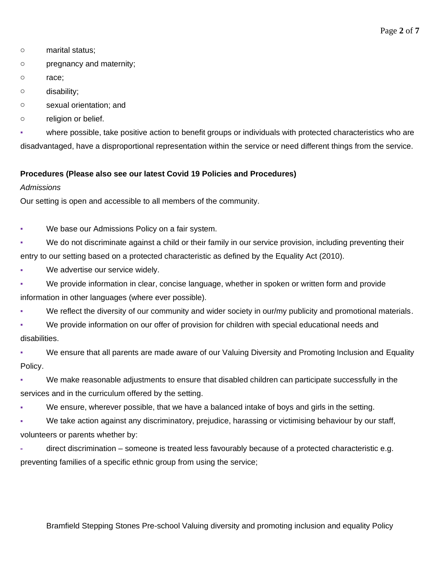- o marital status;
- o pregnancy and maternity;
- o race;
- o disability;
- o sexual orientation; and
- o religion or belief.

where possible, take positive action to benefit groups or individuals with protected characteristics who are disadvantaged, have a disproportional representation within the service or need different things from the service.

## **Procedures (Please also see our latest Covid 19 Policies and Procedures)**

#### *Admissions*

Our setting is open and accessible to all members of the community.

- We base our Admissions Policy on a fair system.
- We do not discriminate against a child or their family in our service provision, including preventing their entry to our setting based on a protected characteristic as defined by the Equality Act (2010).
- We advertise our service widely.
- We provide information in clear, concise language, whether in spoken or written form and provide information in other languages (where ever possible).
- We reflect the diversity of our community and wider society in our/my publicity and promotional materials.
- We provide information on our offer of provision for children with special educational needs and disabilities.
- We ensure that all parents are made aware of our Valuing Diversity and Promoting Inclusion and Equality Policy.
- We make reasonable adjustments to ensure that disabled children can participate successfully in the services and in the curriculum offered by the setting.
- We ensure, wherever possible, that we have a balanced intake of boys and girls in the setting.
- We take action against any discriminatory, prejudice, harassing or victimising behaviour by our staff, volunteers or parents whether by:
- **-** direct discrimination someone is treated less favourably because of a protected characteristic e.g. preventing families of a specific ethnic group from using the service;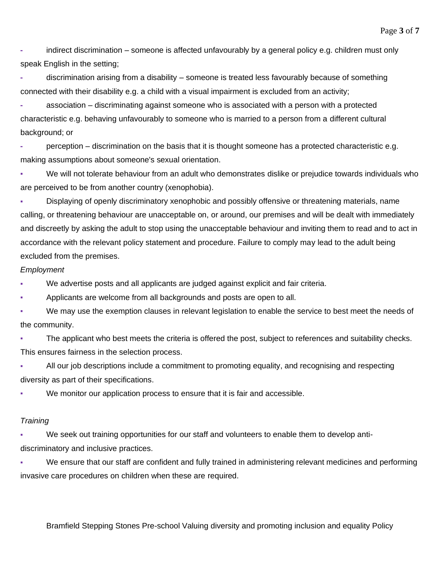**-** indirect discrimination – someone is affected unfavourably by a general policy e.g. children must only speak English in the setting;

**-** discrimination arising from a disability – someone is treated less favourably because of something connected with their disability e.g. a child with a visual impairment is excluded from an activity;

**-** association – discriminating against someone who is associated with a person with a protected characteristic e.g. behaving unfavourably to someone who is married to a person from a different cultural background; or

**-** perception – discrimination on the basis that it is thought someone has a protected characteristic e.g. making assumptions about someone's sexual orientation.

We will not tolerate behaviour from an adult who demonstrates dislike or prejudice towards individuals who are perceived to be from another country (xenophobia).

**• Displaying of openly discriminatory xenophobic and possibly offensive or threatening materials, name** calling, or threatening behaviour are unacceptable on, or around, our premises and will be dealt with immediately and discreetly by asking the adult to stop using the unacceptable behaviour and inviting them to read and to act in accordance with the relevant policy statement and procedure. Failure to comply may lead to the adult being excluded from the premises.

#### *Employment*

We advertise posts and all applicants are judged against explicit and fair criteria.

Applicants are welcome from all backgrounds and posts are open to all.

We may use the exemption clauses in relevant legislation to enable the service to best meet the needs of the community.

The applicant who best meets the criteria is offered the post, subject to references and suitability checks. This ensures fairness in the selection process.

All our job descriptions include a commitment to promoting equality, and recognising and respecting diversity as part of their specifications.

We monitor our application process to ensure that it is fair and accessible.

#### *Training*

We seek out training opportunities for our staff and volunteers to enable them to develop antidiscriminatory and inclusive practices.

We ensure that our staff are confident and fully trained in administering relevant medicines and performing invasive care procedures on children when these are required.

Bramfield Stepping Stones Pre-school Valuing diversity and promoting inclusion and equality Policy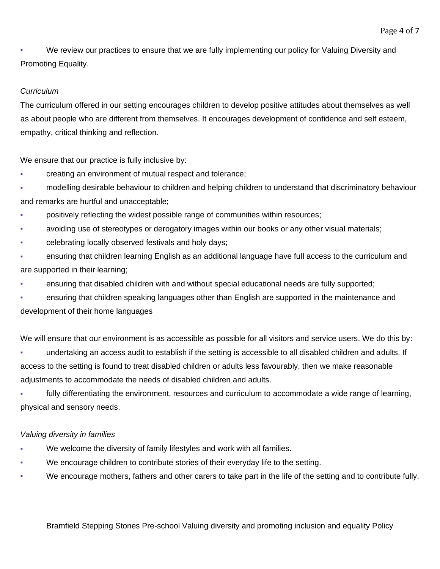We review our practices to ensure that we are fully implementing our policy for Valuing Diversity and Promoting Equality.

## *Curriculum*

The curriculum offered in our setting encourages children to develop positive attitudes about themselves as well as about people who are different from themselves. It encourages development of confidence and self esteem, empathy, critical thinking and reflection.

We ensure that our practice is fully inclusive by:

- creating an environment of mutual respect and tolerance;
- modelling desirable behaviour to children and helping children to understand that discriminatory behaviour and remarks are hurtful and unacceptable;
- positively reflecting the widest possible range of communities within resources;
- avoiding use of stereotypes or derogatory images within our books or any other visual materials;
- celebrating locally observed festivals and holy days;
- ensuring that children learning English as an additional language have full access to the curriculum and are supported in their learning;
- ensuring that disabled children with and without special educational needs are fully supported;
- ensuring that children speaking languages other than English are supported in the maintenance and development of their home languages

We will ensure that our environment is as accessible as possible for all visitors and service users. We do this by:

undertaking an access audit to establish if the setting is accessible to all disabled children and adults. If access to the setting is found to treat disabled children or adults less favourably, then we make reasonable adjustments to accommodate the needs of disabled children and adults.

fully differentiating the environment, resources and curriculum to accommodate a wide range of learning, physical and sensory needs.

## *Valuing diversity in families*

- We welcome the diversity of family lifestyles and work with all families.
- We encourage children to contribute stories of their everyday life to the setting.
- We encourage mothers, fathers and other carers to take part in the life of the setting and to contribute fully.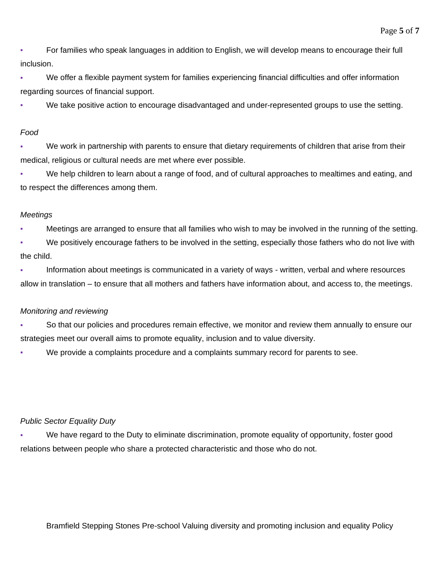**• For families who speak languages in addition to English, we will develop means to encourage their full** inclusion.

We offer a flexible payment system for families experiencing financial difficulties and offer information regarding sources of financial support.

We take positive action to encourage disadvantaged and under-represented groups to use the setting.

## *Food*

We work in partnership with parents to ensure that dietary requirements of children that arise from their medical, religious or cultural needs are met where ever possible.

We help children to learn about a range of food, and of cultural approaches to mealtimes and eating, and to respect the differences among them.

## *Meetings*

Meetings are arranged to ensure that all families who wish to may be involved in the running of the setting.

We positively encourage fathers to be involved in the setting, especially those fathers who do not live with the child.

▪ Information about meetings is communicated in a variety of ways - written, verbal and where resources allow in translation – to ensure that all mothers and fathers have information about, and access to, the meetings.

## *Monitoring and reviewing*

▪ So that our policies and procedures remain effective, we monitor and review them annually to ensure our strategies meet our overall aims to promote equality, inclusion and to value diversity.

We provide a complaints procedure and a complaints summary record for parents to see.

## *Public Sector Equality Duty*

We have regard to the Duty to eliminate discrimination, promote equality of opportunity, foster good relations between people who share a protected characteristic and those who do not.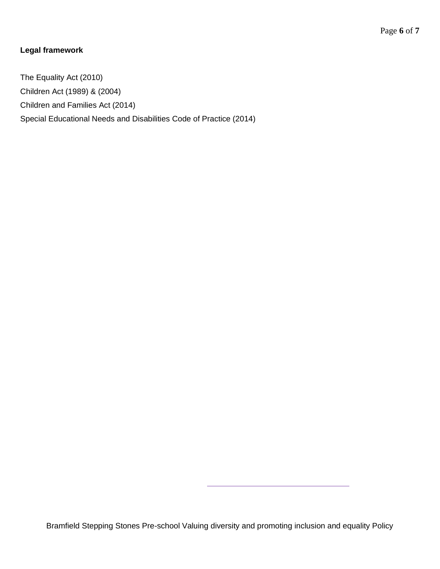# **Legal framework**

The Equality Act (2010) Children Act (1989) & (2004) Children and Families Act (2014) Special Educational Needs and Disabilities Code of Practice (2014)

Bramfield Stepping Stones Pre-school Valuing diversity and promoting inclusion and equality Policy